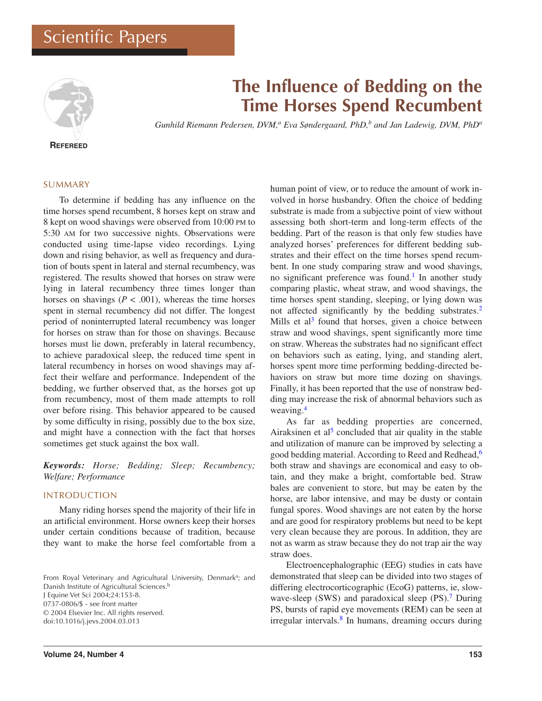# Scientific Papers



# **The Influence of Bedding on the Time Horses Spend Recumbent**

*Gunhild Riemann Pedersen, DVM,<sup>a</sup> Eva Søndergaard, PhD,<sup>b</sup> and Jan Ladewig, DVM, PhD<sup>a</sup>* 

**REFEREED**

# SUMMARY

To determine if bedding has any influence on the time horses spend recumbent, 8 horses kept on straw and 8 kept on wood shavings were observed from 10:00 PM to 5:30 AM for two successive nights. Observations were conducted using time-lapse video recordings. Lying down and rising behavior, as well as frequency and duration of bouts spent in lateral and sternal recumbency, was registered. The results showed that horses on straw were lying in lateral recumbency three times longer than horses on shavings ( $P < .001$ ), whereas the time horses spent in sternal recumbency did not differ. The longest period of noninterrupted lateral recumbency was longer for horses on straw than for those on shavings. Because horses must lie down, preferably in lateral recumbency, to achieve paradoxical sleep, the reduced time spent in lateral recumbency in horses on wood shavings may affect their welfare and performance. Independent of the bedding, we further observed that, as the horses got up from recumbency, most of them made attempts to roll over before rising. This behavior appeared to be caused by some difficulty in rising, possibly due to the box size, and might have a connection with the fact that horses sometimes get stuck against the box wall.

*Keywords: Horse; Bedding; Sleep; Recumbency; Welfare; Performance*

# INTRODUCTION

Many riding horses spend the majority of their life in an artificial environment. Horse owners keep their horses under certain conditions because of tradition, because they want to make the horse feel comfortable from a

From Royal Veterinary and Agricultural University, Denmark<sup>a</sup>; and Danish Institute of Agricultural Sciences.<sup>b</sup> J Equine Vet Sci 2004;24:153-8. 0737-0806/\$ - see front matter

© 2004 Elsevier Inc. All rights reserved. doi:10.1016/j.jevs.2004.03.013

human point of view, or to reduce the amount of work involved in horse husbandry. Often the choice of bedding substrate is made from a subjective point of view without assessing both short-term and long-term effects of the bedding. Part of the reason is that only few studies have analyzed horses' preferences for different bedding substrates and their effect on the time horses spend recumbent. In one study comparing straw and wood shavings, no significant preference was found.<sup>1</sup> In another study comparing plastic, wheat straw, and wood shavings, the time horses spent standing, sleeping, or lying down was not affected significantly by the bedding substrates.<sup>[2](#page-5-0)</sup> Mills et  $al<sup>3</sup>$  found that horses, given a choice between straw and wood shavings, spent significantly more time on straw. Whereas the substrates had no significant effect on behaviors such as eating, lying, and standing alert, horses spent more time performing bedding-directed behaviors on straw but more time dozing on shavings. Finally, it has been reported that the use of nonstraw bedding may increase the risk of abnormal behaviors such as weaving[.4](#page-5-0)

As far as bedding properties are concerned, Airaksinen et al<sup>5</sup> concluded that air quality in the stable and utilization of manure can be improved by selecting a good bedding material. According to Reed and Redhead,<sup>[6](#page-5-0)</sup> both straw and shavings are economical and easy to obtain, and they make a bright, comfortable bed. Straw bales are convenient to store, but may be eaten by the horse, are labor intensive, and may be dusty or contain fungal spores. Wood shavings are not eaten by the horse and are good for respiratory problems but need to be kept very clean because they are porous. In addition, they are not as warm as straw because they do not trap air the way straw does.

Electroencephalographic (EEG) studies in cats have demonstrated that sleep can be divided into two stages of differing electrocorticographic (EcoG) patterns, ie, slow-wave-sleep (SWS) and paradoxical sleep (PS).<sup>[7](#page-5-0)</sup> During PS, bursts of rapid eye movements (REM) can be seen at irregular intervals.<sup>[8](#page-5-0)</sup> In humans, dreaming occurs during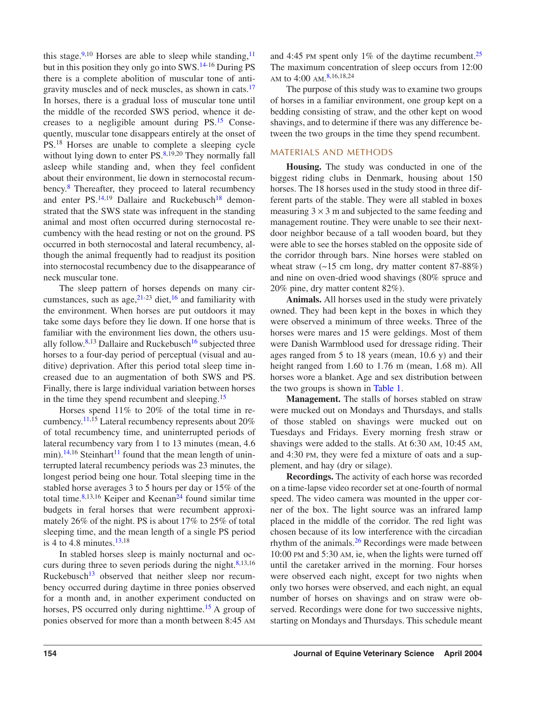this stage.<sup>9,10</sup> Horses are able to sleep while standing,<sup>11</sup> but in this position they only go into SWS[.14-](#page-5-0)16 During PS there is a complete abolition of muscular tone of antigravity muscles and of neck muscles, as shown in cats.<sup>17</sup> In horses, there is a gradual loss of muscular tone until the middle of the recorded SWS period, whence it decreases to a negligible amount during  $PS<sup>15</sup>$  $PS<sup>15</sup>$  $PS<sup>15</sup>$  Consequently, muscular tone disappears entirely at the onset of PS.18 Horses are unable to complete a sleeping cycle without lying down to enter  $PS$ .<sup>[8,1](#page-5-0)9,20</sup> They normally fall asleep while standing and, when they feel confident about their environment, lie down in sternocostal recum-bency.<sup>[8](#page-5-0)</sup> Thereafter, they proceed to lateral recumbency and enter  $PS.14,19$  $PS.14,19$  $PS.14,19$  Dallaire and Ruckebusch<sup>[18](#page-5-0)</sup> demonstrated that the SWS state was infrequent in the standing animal and most often occurred during sternocostal recumbency with the head resting or not on the ground. PS occurred in both sternocostal and lateral recumbency, although the animal frequently had to readjust its position into sternocostal recumbency due to the disappearance of neck muscular tone.

The sleep pattern of horses depends on many circumstances, such as age,  $21-23$  $21-23$  diet,  $16$  and familiarity with the environment. When horses are put outdoors it may take some days before they lie down. If one horse that is familiar with the environment lies down, the others usually follow. $8,13$  Dallaire and Ruckebusch<sup>[16](#page-5-0)</sup> subjected three horses to a four-day period of perceptual (visual and auditive) deprivation. After this period total sleep time increased due to an augmentation of both SWS and PS. Finally, there is large individual variation between horses in the time they spend recumbent and sleeping.<sup>[15](#page-5-0)</sup>

Horses spend 11% to 20% of the total time in re-cumbency.<sup>[11,](#page-5-0)15</sup> Lateral recumbency represents about  $20\%$ of total recumbency time, and uninterrupted periods of lateral recumbency vary from 1 to 13 minutes (mean, 4.6 min).<sup>14,16</sup> Steinhart<sup>[11](#page-5-0)</sup> found that the mean length of uninterrupted lateral recumbency periods was 23 minutes, the longest period being one hour. Total sleeping time in the stabled horse averages 3 to 5 hours per day or 15% of the total time. $8,13,16$  Keiper and Keenan<sup>24</sup> found similar time budgets in feral horses that were recumbent approximately 26% of the night. PS is about 17% to 25% of total sleeping time, and the mean length of a single PS period is 4 to 4.8 minutes. $13,18$  $13,18$ 

In stabled horses sleep is mainly nocturnal and occurs during three to seven periods during the night. $8,13,16$  $8,13,16$ Ruckebusch<sup>13</sup> observed that neither sleep nor recumbency occurred during daytime in three ponies observed for a month and, in another experiment conducted on horses, PS occurred only during nighttime.<sup>[15](#page-5-0)</sup> A group of ponies observed for more than a month between 8:45 AM

and 4:45 PM spent only 1% of the daytime recumbent.<sup>[25](#page-5-0)</sup> The maximum concentration of sleep occurs from 12:00 AM to 4:00 AM. [8,1](#page-5-0)6,18,24

The purpose of this study was to examine two groups of horses in a familiar environment, one group kept on a bedding consisting of straw, and the other kept on wood shavings, and to determine if there was any difference between the two groups in the time they spend recumbent.

# MATERIALS AND METHODS

**Housing.** The study was conducted in one of the biggest riding clubs in Denmark, housing about 150 horses. The 18 horses used in the study stood in three different parts of the stable. They were all stabled in boxes measuring  $3 \times 3$  m and subjected to the same feeding and management routine. They were unable to see their nextdoor neighbor because of a tall wooden board, but they were able to see the horses stabled on the opposite side of the corridor through bars. Nine horses were stabled on wheat straw  $(-15 \text{ cm long}, \text{ dry matter content } 87-88\%)$ and nine on oven-dried wood shavings (80% spruce and 20% pine, dry matter content 82%).

**Animals.** All horses used in the study were privately owned. They had been kept in the boxes in which they were observed a minimum of three weeks. Three of the horses were mares and 15 were geldings. Most of them were Danish Warmblood used for dressage riding. Their ages ranged from 5 to 18 years (mean, 10.6 y) and their height ranged from 1.60 to 1.76 m (mean, 1.68 m). All horses wore a blanket. Age and sex distribution between the two groups is shown in [Table 1.](#page-2-0)

**Management.** The stalls of horses stabled on straw were mucked out on Mondays and Thursdays, and stalls of those stabled on shavings were mucked out on Tuesdays and Fridays. Every morning fresh straw or shavings were added to the stalls. At 6:30 AM, 10:45 AM, and 4:30 PM, they were fed a mixture of oats and a supplement, and hay (dry or silage).

**Recordings.** The activity of each horse was recorded on a time-lapse video recorder set at one-fourth of normal speed. The video camera was mounted in the upper corner of the box. The light source was an infrared lamp placed in the middle of the corridor. The red light was chosen because of its low interference with the circadian rhythm of the animals.<sup>[26](#page-5-0)</sup> Recordings were made between 10:00 PM and 5:30 AM, ie, when the lights were turned off until the caretaker arrived in the morning. Four horses were observed each night, except for two nights when only two horses were observed, and each night, an equal number of horses on shavings and on straw were observed. Recordings were done for two successive nights, starting on Mondays and Thursdays. This schedule meant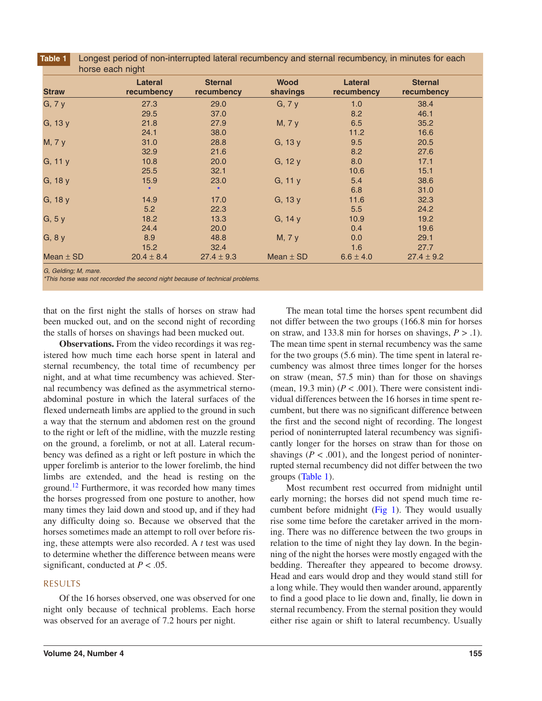<span id="page-2-0"></span>

| <b>Straw</b>  | <b>Lateral</b><br>recumbency | <b>Sternal</b><br>recumbency | <b>Wood</b><br>shavings | <b>Lateral</b><br>recumbency | <b>Sternal</b><br>recumbency |
|---------------|------------------------------|------------------------------|-------------------------|------------------------------|------------------------------|
| G, 7 y        | 27.3                         | 29.0                         | G, 7y                   | 1.0                          | 38.4                         |
|               | 29.5                         | 37.0                         |                         | 8.2                          | 46.1                         |
| G, 13y        | 21.8                         | 27.9                         | M, 7 y                  | 6.5                          | 35.2                         |
|               | 24.1                         | 38.0                         |                         | 11.2                         | 16.6                         |
| M, 7 y        | 31.0                         | 28.8                         | G, 13 y                 | 9.5                          | 20.5                         |
|               | 32.9                         | 21.6                         |                         | 8.2                          | 27.6                         |
| G, 11 y       | 10.8                         | 20.0                         | G, 12 y                 | 8.0                          | 17.1                         |
|               | 25.5                         | 32.1                         |                         | 10.6                         | 15.1                         |
| G, 18y        | 15.9                         | 23.0                         | G, 11 y                 | 5.4                          | 38.6                         |
|               | $\star$                      | $\star$                      |                         | 6.8                          | 31.0                         |
| G, 18 y       | 14.9                         | 17.0                         | G, 13 y                 | 11.6                         | 32.3                         |
|               | 5.2                          | 22.3                         |                         | 5.5                          | 24.2                         |
| G, 5y         | 18.2                         | 13.3                         | G, 14 y                 | 10.9                         | 19.2                         |
|               | 24.4                         | 20.0                         |                         | 0.4                          | 19.6                         |
| G, 8y         | 8.9                          | 48.8                         | M, 7 y                  | 0.0                          | 29.1                         |
|               | 15.2                         | 32.4                         |                         | 1.6                          | 27.7                         |
| Mean $\pm$ SD | $20.4 \pm 8.4$               | $27.4 \pm 9.3$               | Mean $\pm$ SD           | $6.6 \pm 4.0$                | $27.4 \pm 9.2$               |

G, Gelding; M, mare.

\*This horse was not recorded the second night because of technical problems.

that on the first night the stalls of horses on straw had been mucked out, and on the second night of recording the stalls of horses on shavings had been mucked out.

**Observations.** From the video recordings it was registered how much time each horse spent in lateral and sternal recumbency, the total time of recumbency per night, and at what time recumbency was achieved. Sternal recumbency was defined as the asymmetrical sternoabdominal posture in which the lateral surfaces of the flexed underneath limbs are applied to the ground in such a way that the sternum and abdomen rest on the ground to the right or left of the midline, with the muzzle resting on the ground, a forelimb, or not at all. Lateral recumbency was defined as a right or left posture in which the upper forelimb is anterior to the lower forelimb, the hind limbs are extended, and the head is resting on the ground[.12](#page-5-0) Furthermore, it was recorded how many times the horses progressed from one posture to another, how many times they laid down and stood up, and if they had any difficulty doing so. Because we observed that the horses sometimes made an attempt to roll over before rising, these attempts were also recorded. A *t* test was used to determine whether the difference between means were significant, conducted at  $P < .05$ .

# RESULTS

Of the 16 horses observed, one was observed for one night only because of technical problems. Each horse was observed for an average of 7.2 hours per night.

The mean total time the horses spent recumbent did not differ between the two groups (166.8 min for horses on straw, and 133.8 min for horses on shavings,  $P > 0.1$ . The mean time spent in sternal recumbency was the same for the two groups (5.6 min). The time spent in lateral recumbency was almost three times longer for the horses on straw (mean, 57.5 min) than for those on shavings (mean, 19.3 min) ( $P < .001$ ). There were consistent individual differences between the 16 horses in time spent recumbent, but there was no significant difference between the first and the second night of recording. The longest period of noninterrupted lateral recumbency was significantly longer for the horses on straw than for those on shavings ( $P < .001$ ), and the longest period of noninterrupted sternal recumbency did not differ between the two groups (Table 1).

Most recumbent rest occurred from midnight until early morning; the horses did not spend much time recumbent before midnight ([Fig](#page-3-0) 1). They would usually rise some time before the caretaker arrived in the morning. There was no difference between the two groups in relation to the time of night they lay down. In the beginning of the night the horses were mostly engaged with the bedding. Thereafter they appeared to become drowsy. Head and ears would drop and they would stand still for a long while. They would then wander around, apparently to find a good place to lie down and, finally, lie down in sternal recumbency. From the sternal position they would either rise again or shift to lateral recumbency. Usually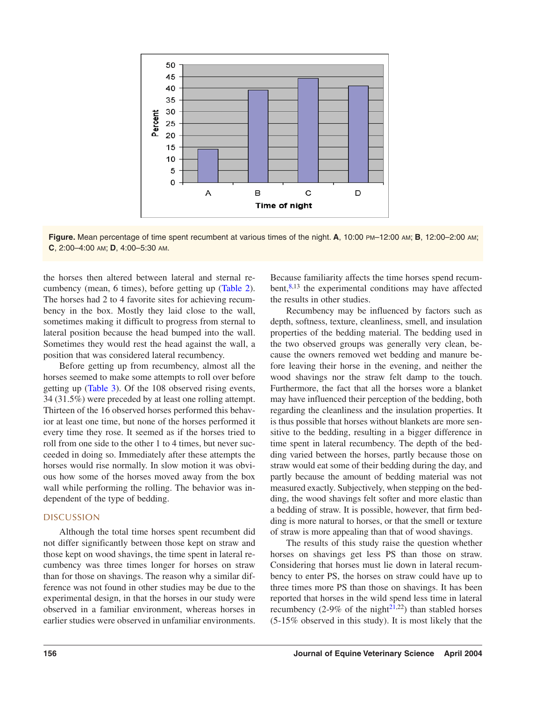<span id="page-3-0"></span>

Figure. Mean percentage of time spent recumbent at various times of the night. A, 10:00 PM–12:00 AM; B, 12:00–2:00 AM; **C**, 2:00–4:00 AM; **D**, 4:00–5:30 AM.

the horses then altered between lateral and sternal recumbency (mean, 6 times), before getting up [\(Table 2\)](#page-4-0). The horses had 2 to 4 favorite sites for achieving recumbency in the box. Mostly they laid close to the wall, sometimes making it difficult to progress from sternal to lateral position because the head bumped into the wall. Sometimes they would rest the head against the wall, a position that was considered lateral recumbency.

Before getting up from recumbency, almost all the horses seemed to make some attempts to roll over before getting up [\(Table 3\).](#page-4-0) Of the 108 observed rising events, 34 (31.5%) were preceded by at least one rolling attempt. Thirteen of the 16 observed horses performed this behavior at least one time, but none of the horses performed it every time they rose. It seemed as if the horses tried to roll from one side to the other 1 to 4 times, but never succeeded in doing so. Immediately after these attempts the horses would rise normally. In slow motion it was obvious how some of the horses moved away from the box wall while performing the rolling. The behavior was independent of the type of bedding.

#### DISCUSSION

Although the total time horses spent recumbent did not differ significantly between those kept on straw and those kept on wood shavings, the time spent in lateral recumbency was three times longer for horses on straw than for those on shavings. The reason why a similar difference was not found in other studies may be due to the experimental design, in that the horses in our study were observed in a familiar environment, whereas horses in earlier studies were observed in unfamiliar environments.

Because familiarity affects the time horses spend recumbent, $8,13$  the experimental conditions may have affected the results in other studies.

Recumbency may be influenced by factors such as depth, softness, texture, cleanliness, smell, and insulation properties of the bedding material. The bedding used in the two observed groups was generally very clean, because the owners removed wet bedding and manure before leaving their horse in the evening, and neither the wood shavings nor the straw felt damp to the touch. Furthermore, the fact that all the horses wore a blanket may have influenced their perception of the bedding, both regarding the cleanliness and the insulation properties. It is thus possible that horses without blankets are more sensitive to the bedding, resulting in a bigger difference in time spent in lateral recumbency. The depth of the bedding varied between the horses, partly because those on straw would eat some of their bedding during the day, and partly because the amount of bedding material was not measured exactly. Subjectively, when stepping on the bedding, the wood shavings felt softer and more elastic than a bedding of straw. It is possible, however, that firm bedding is more natural to horses, or that the smell or texture of straw is more appealing than that of wood shavings.

The results of this study raise the question whether horses on shavings get less PS than those on straw. Considering that horses must lie down in lateral recumbency to enter PS, the horses on straw could have up to three times more PS than those on shavings. It has been reported that horses in the wild spend less time in lateral recumbency (2-9% of the night<sup>[21,](#page-5-0)22</sup>) than stabled horses (5-15% observed in this study). It is most likely that the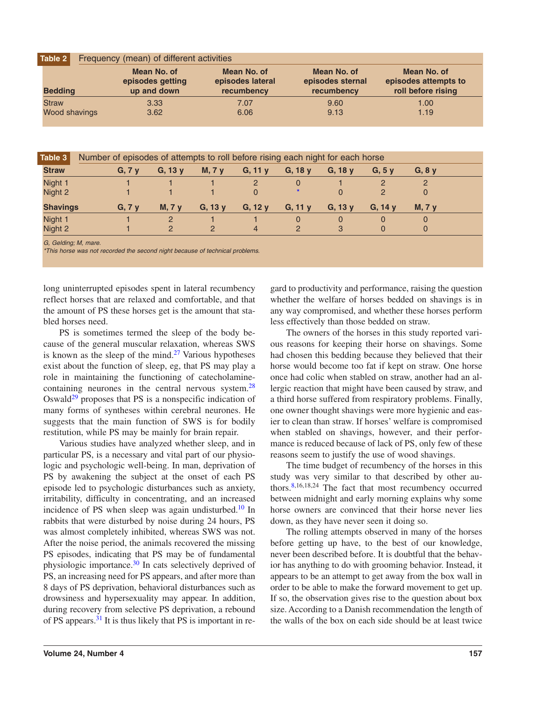<span id="page-4-0"></span>

| Table 2        | Frequency (mean) of different activities       |                                               |                                               |                                                           |  |
|----------------|------------------------------------------------|-----------------------------------------------|-----------------------------------------------|-----------------------------------------------------------|--|
| <b>Bedding</b> | Mean No. of<br>episodes getting<br>up and down | Mean No. of<br>episodes lateral<br>recumbency | Mean No. of<br>episodes sternal<br>recumbency | Mean No. of<br>episodes attempts to<br>roll before rising |  |
| <b>Straw</b>   | 3.33                                           | 7.07                                          | 9.60                                          | 1.00                                                      |  |
| Wood shavings  | 3.62                                           | 6.06                                          | 9.13                                          | 1.19                                                      |  |

| <b>Straw</b>    | G, 7y | G, 13y         | <b>M, 7 y</b> | G, 11v  | G, 18y        | G, 18y         | G, 5y          | G, 8y  |
|-----------------|-------|----------------|---------------|---------|---------------|----------------|----------------|--------|
| Night 1         |       |                |               | 2       | $\Omega$      |                | 2              | 2      |
| Night 2         |       |                |               | 0       | $\star$       | $\overline{0}$ | $\overline{2}$ | 0      |
| <b>Shavings</b> | G, 7y | M, 7 y         | G, 13y        | G, 12 y | G, 11y        | G, 13v         | $G, 14$ y      | M, 7 y |
| Night 1         |       | $\mathcal{P}$  |               |         | $\Omega$      | $\Omega$       | $\Omega$       | 0      |
| Night 2         |       | $\overline{2}$ | $\mathcal{P}$ | 4       | $\mathcal{P}$ | 3              | $\Omega$       | 0      |

\*This horse was not recorded the second night because of technical problems.

long uninterrupted episodes spent in lateral recumbency reflect horses that are relaxed and comfortable, and that the amount of PS these horses get is the amount that stabled horses need.

PS is sometimes termed the sleep of the body because of the general muscular relaxation, whereas SWS is known as the sleep of the mind. $27$  Various hypotheses exist about the function of sleep, eg, that PS may play a role in maintaining the functioning of catecholaminecontaining neurones in the central nervous system. $^{28}$  $^{28}$  $^{28}$ Oswald<sup>[29](#page-5-0)</sup> proposes that PS is a nonspecific indication of many forms of syntheses within cerebral neurones. He suggests that the main function of SWS is for bodily restitution, while PS may be mainly for brain repair.

Various studies have analyzed whether sleep, and in particular PS, is a necessary and vital part of our physiologic and psychologic well-being. In man, deprivation of PS by awakening the subject at the onset of each PS episode led to psychologic disturbances such as anxiety, irritability, difficulty in concentrating, and an increased incidence of PS when sleep was again undisturbed.<sup>[10](#page-5-0)</sup> In rabbits that were disturbed by noise during 24 hours, PS was almost completely inhibited, whereas SWS was not. After the noise period, the animals recovered the missing PS episodes, indicating that PS may be of fundamental physiologic importance[.30](#page-5-0) In cats selectively deprived of PS, an increasing need for PS appears, and after more than 8 days of PS deprivation, behavioral disturbances such as drowsiness and hypersexuality may appear. In addition, during recovery from selective PS deprivation, a rebound of PS appears[.31](#page-5-0) It is thus likely that PS is important in regard to productivity and performance, raising the question whether the welfare of horses bedded on shavings is in any way compromised, and whether these horses perform less effectively than those bedded on straw.

The owners of the horses in this study reported various reasons for keeping their horse on shavings. Some had chosen this bedding because they believed that their horse would become too fat if kept on straw. One horse once had colic when stabled on straw, another had an allergic reaction that might have been caused by straw, and a third horse suffered from respiratory problems. Finally, one owner thought shavings were more hygienic and easier to clean than straw. If horses' welfare is compromised when stabled on shavings, however, and their performance is reduced because of lack of PS, only few of these reasons seem to justify the use of wood shavings.

The time budget of recumbency of the horses in this study was very similar to that described by other authors. $8,16,18,24$  The fact that most recumbency occurred between midnight and early morning explains why some horse owners are convinced that their horse never lies down, as they have never seen it doing so.

The rolling attempts observed in many of the horses before getting up have, to the best of our knowledge, never been described before. It is doubtful that the behavior has anything to do with grooming behavior. Instead, it appears to be an attempt to get away from the box wall in order to be able to make the forward movement to get up. If so, the observation gives rise to the question about box size. According to a Danish recommendation the length of the walls of the box on each side should be at least twice